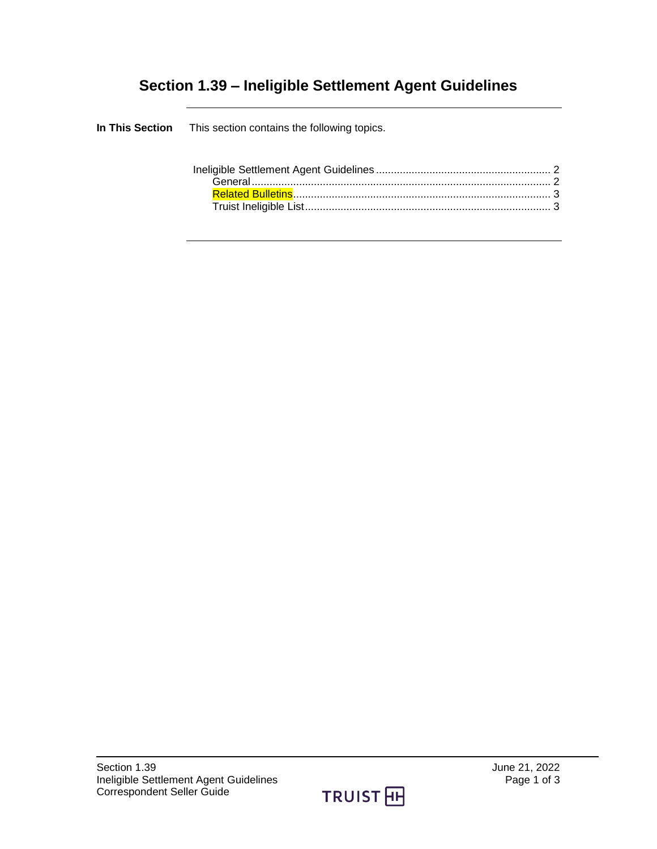## **Section 1.39 – Ineligible Settlement Agent Guidelines**

| <b>In This Section</b> This section contains the following topics. |  |
|--------------------------------------------------------------------|--|
|                                                                    |  |

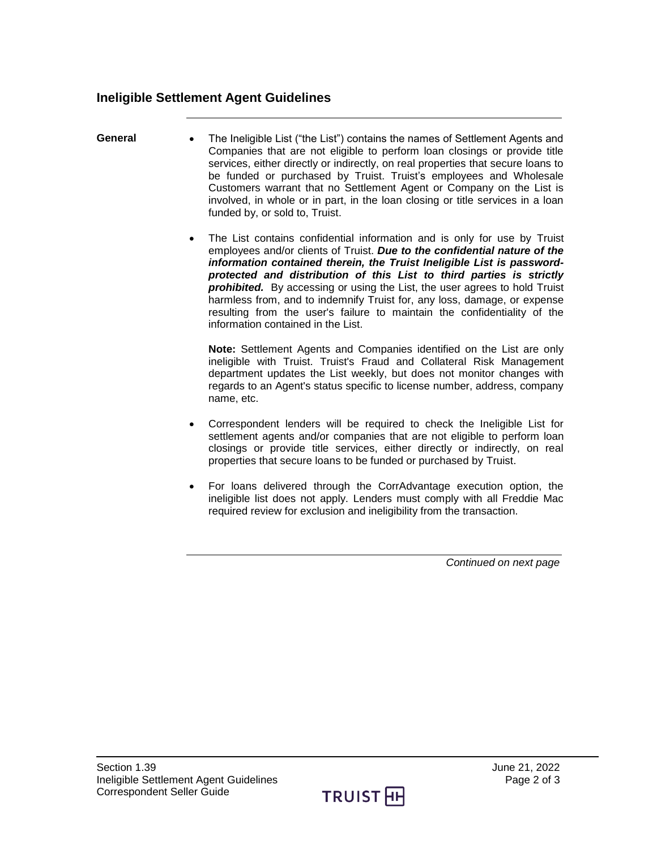## <span id="page-1-0"></span>**Ineligible Settlement Agent Guidelines**

- <span id="page-1-1"></span>**General** The Ineligible List ("the List") contains the names of Settlement Agents and Companies that are not eligible to perform loan closings or provide title services, either directly or indirectly, on real properties that secure loans to be funded or purchased by Truist. Truist's employees and Wholesale Customers warrant that no Settlement Agent or Company on the List is involved, in whole or in part, in the loan closing or title services in a loan funded by, or sold to, Truist.
	- The List contains confidential information and is only for use by Truist employees and/or clients of Truist. *Due to the confidential nature of the information contained therein, the Truist Ineligible List is passwordprotected and distribution of this List to third parties is strictly*  **prohibited.** By accessing or using the List, the user agrees to hold Truist harmless from, and to indemnify Truist for, any loss, damage, or expense resulting from the user's failure to maintain the confidentiality of the information contained in the List.

**Note:** Settlement Agents and Companies identified on the List are only ineligible with Truist. Truist's Fraud and Collateral Risk Management department updates the List weekly, but does not monitor changes with regards to an Agent's status specific to license number, address, company name, etc.

- Correspondent lenders will be required to check the Ineligible List for settlement agents and/or companies that are not eligible to perform loan closings or provide title services, either directly or indirectly, on real properties that secure loans to be funded or purchased by Truist.
- For loans delivered through the CorrAdvantage execution option, the ineligible list does not apply. Lenders must comply with all Freddie Mac required review for exclusion and ineligibility from the transaction.

*Continued on next page*